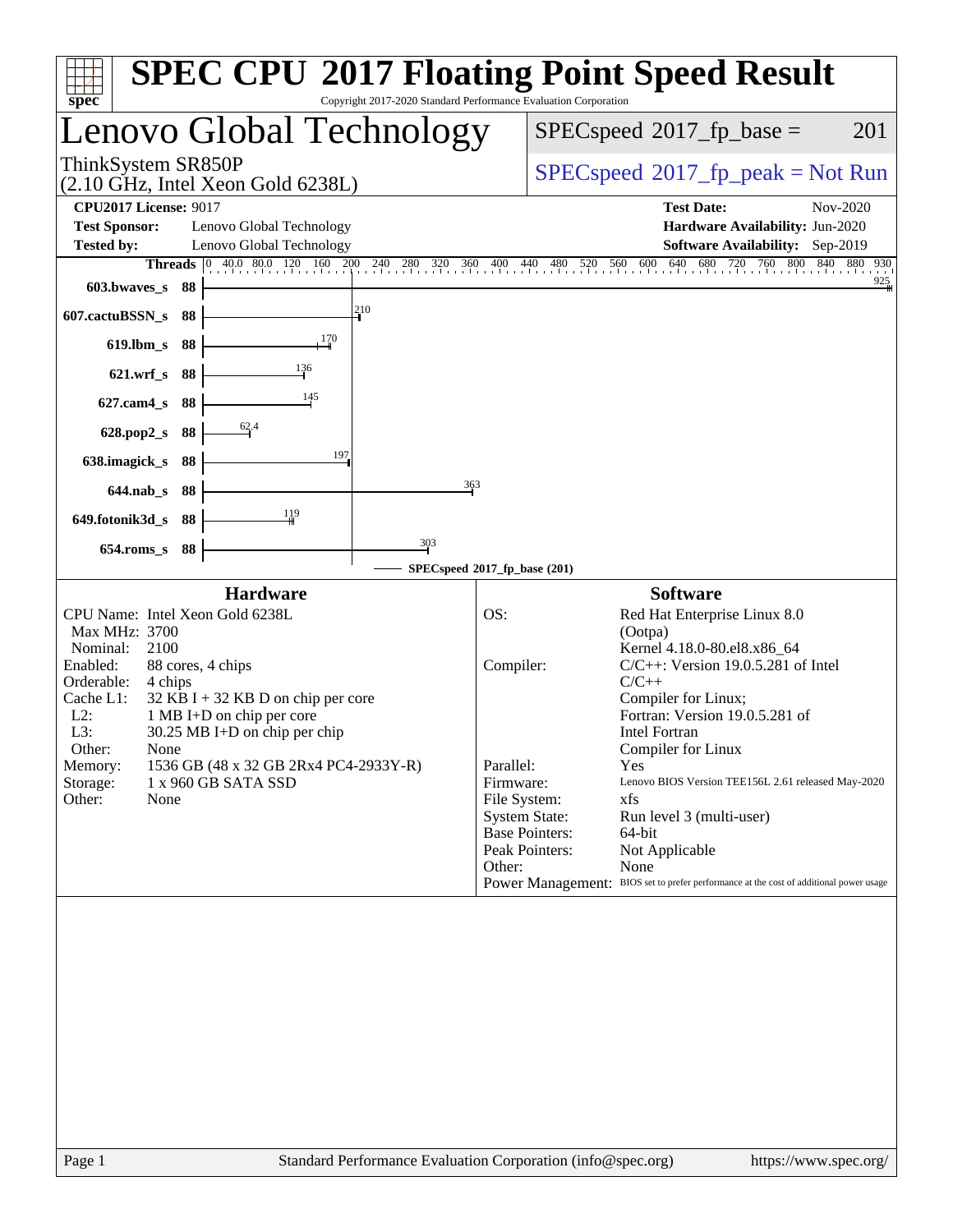| <b>SPEC CPU®2017 Floating Point Speed Result</b><br>Copyright 2017-2020 Standard Performance Evaluation Corporation<br>$spec^*$                                                                                                                                                                                                                                                                                                                                                                                                              |                                                                                                                                                                                                                                                                                                                                                                                                                                                                                                                                                                                                                        |
|----------------------------------------------------------------------------------------------------------------------------------------------------------------------------------------------------------------------------------------------------------------------------------------------------------------------------------------------------------------------------------------------------------------------------------------------------------------------------------------------------------------------------------------------|------------------------------------------------------------------------------------------------------------------------------------------------------------------------------------------------------------------------------------------------------------------------------------------------------------------------------------------------------------------------------------------------------------------------------------------------------------------------------------------------------------------------------------------------------------------------------------------------------------------------|
| Lenovo Global Technology                                                                                                                                                                                                                                                                                                                                                                                                                                                                                                                     | $SPEC speed^{\circ}2017$ _fp_base =<br>201                                                                                                                                                                                                                                                                                                                                                                                                                                                                                                                                                                             |
| ThinkSystem SR850P<br>$(2.10 \text{ GHz}, \text{Intel Xeon Gold } 6238L)$                                                                                                                                                                                                                                                                                                                                                                                                                                                                    | $SPEC speed^{\circ}2017\_fp\_peak = Not Run$                                                                                                                                                                                                                                                                                                                                                                                                                                                                                                                                                                           |
| <b>CPU2017 License: 9017</b><br><b>Test Sponsor:</b><br>Lenovo Global Technology<br><b>Tested by:</b><br>Lenovo Global Technology<br><b>Threads</b> 0 40.0 80.0 120 160 200 240 280 320<br>360<br>603.bwaves_s 88<br>210<br>607.cactuBSSN_s<br>-88<br>170<br>$619$ .lbm_s<br>88<br>136<br>$621.wrf$ <sub>S</sub><br>88<br>145<br>$627$ .cam $4$ <sub>S</sub><br>88<br>62.4<br>628.pop2_s<br>88<br>197<br>638.imagick_s<br>88<br>363<br>$644$ .nab s<br>-88<br>$\frac{119}{11}$<br>649.fotonik3d_s<br>-88<br>$\frac{303}{2}$<br>654.roms_s 88 | <b>Test Date:</b><br>Nov-2020<br>Hardware Availability: Jun-2020<br>Software Availability: Sep-2019<br>640<br>680<br>720 760 800 840 880 930<br>520 560<br>600<br>$^{400}$ .<br>480<br>$^{440}$<br>925                                                                                                                                                                                                                                                                                                                                                                                                                 |
| SPECspeed®2017_fp_base (201)                                                                                                                                                                                                                                                                                                                                                                                                                                                                                                                 |                                                                                                                                                                                                                                                                                                                                                                                                                                                                                                                                                                                                                        |
| <b>Hardware</b><br>CPU Name: Intel Xeon Gold 6238L<br>OS:<br>Max MHz: 3700<br>Nominal:<br>2100<br>Enabled:<br>88 cores, 4 chips<br>Orderable:<br>4 chips<br>Cache L1:<br>$32$ KB I + 32 KB D on chip per core<br>$L2$ :<br>1 MB I+D on chip per core<br>L3:<br>$30.25$ MB I+D on chip per chip<br>Other:<br>None<br>1536 GB (48 x 32 GB 2Rx4 PC4-2933Y-R)<br>Memory:<br>1 x 960 GB SATA SSD<br>Storage:<br>Other:<br>None                                                                                                                    | <b>Software</b><br>Red Hat Enterprise Linux 8.0<br>(Ootpa)<br>Kernel 4.18.0-80.el8.x86_64<br>$C/C++$ : Version 19.0.5.281 of Intel<br>Compiler:<br>$C/C++$<br>Compiler for Linux;<br>Fortran: Version 19.0.5.281 of<br><b>Intel Fortran</b><br>Compiler for Linux<br>Parallel:<br>Yes<br>Firmware:<br>Lenovo BIOS Version TEE156L 2.61 released May-2020<br>File System:<br>xfs<br><b>System State:</b><br>Run level 3 (multi-user)<br><b>Base Pointers:</b><br>64-bit<br>Peak Pointers:<br>Not Applicable<br>Other:<br>None<br>Power Management: BIOS set to prefer performance at the cost of additional power usage |
|                                                                                                                                                                                                                                                                                                                                                                                                                                                                                                                                              |                                                                                                                                                                                                                                                                                                                                                                                                                                                                                                                                                                                                                        |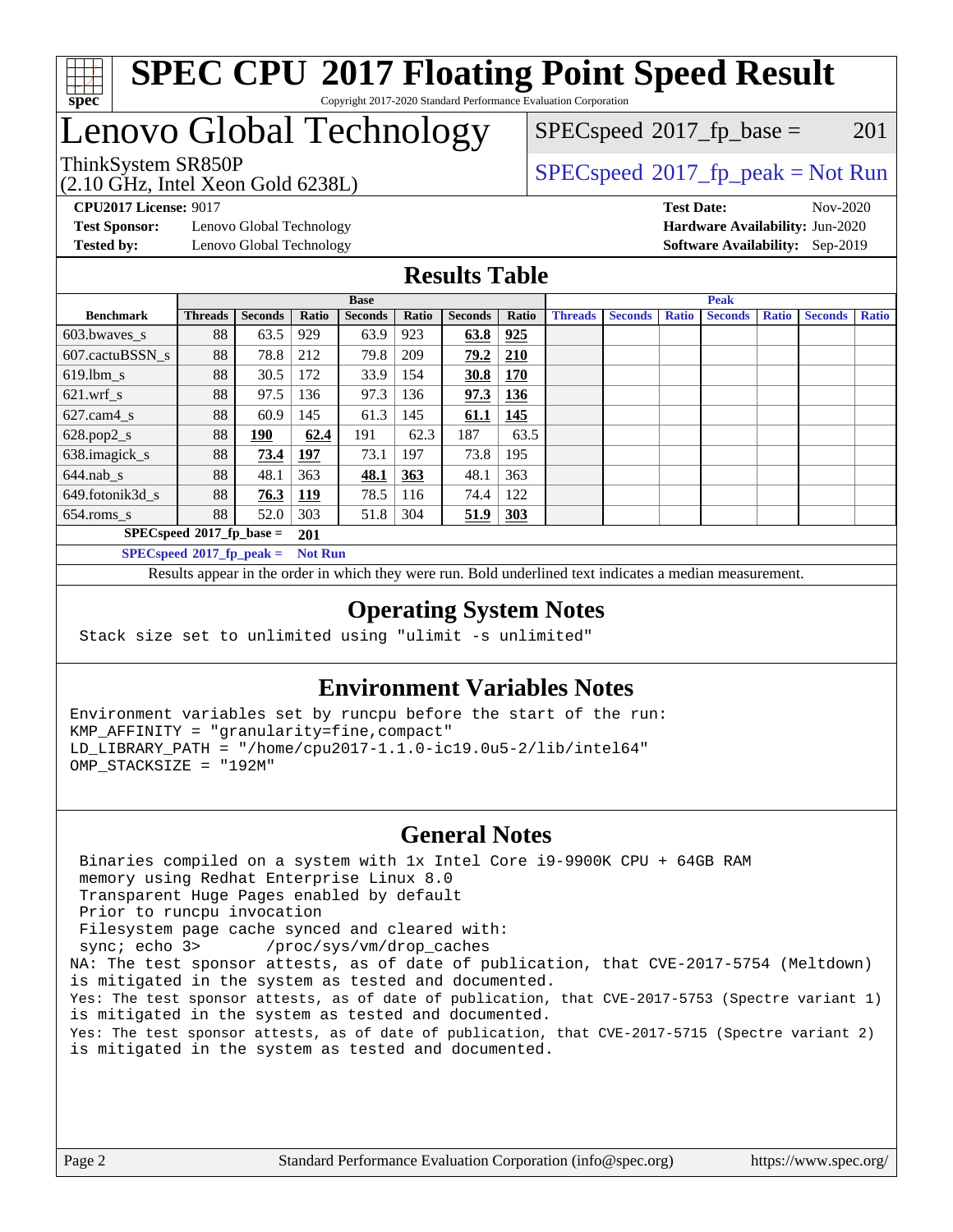

# **[SPEC CPU](http://www.spec.org/auto/cpu2017/Docs/result-fields.html#SPECCPU2017FloatingPointSpeedResult)[2017 Floating Point Speed Result](http://www.spec.org/auto/cpu2017/Docs/result-fields.html#SPECCPU2017FloatingPointSpeedResult)**

Copyright 2017-2020 Standard Performance Evaluation Corporation

### Lenovo Global Technology

(2.10 GHz, Intel Xeon Gold 6238L)

ThinkSystem SR850P<br>  $(2.10 \text{ GHz. Intel Yoon Gold } 62381)$   $SPEC speed^{\circ}2017\_fp\_peak = Not Run$  $SPECspeed^{\circledcirc}2017_fp\_base = 201$  $SPECspeed^{\circledcirc}2017_fp\_base = 201$ 

**[Test Sponsor:](http://www.spec.org/auto/cpu2017/Docs/result-fields.html#TestSponsor)** Lenovo Global Technology **[Hardware Availability:](http://www.spec.org/auto/cpu2017/Docs/result-fields.html#HardwareAvailability)** Jun-2020 **[Tested by:](http://www.spec.org/auto/cpu2017/Docs/result-fields.html#Testedby)** Lenovo Global Technology **[Software Availability:](http://www.spec.org/auto/cpu2017/Docs/result-fields.html#SoftwareAvailability)** Sep-2019

**[CPU2017 License:](http://www.spec.org/auto/cpu2017/Docs/result-fields.html#CPU2017License)** 9017 **[Test Date:](http://www.spec.org/auto/cpu2017/Docs/result-fields.html#TestDate)** Nov-2020

#### **[Results Table](http://www.spec.org/auto/cpu2017/Docs/result-fields.html#ResultsTable)**

|                                    | <b>Base</b>    |                |                |                | <b>Peak</b> |                |            |                |                |              |                |              |                |              |
|------------------------------------|----------------|----------------|----------------|----------------|-------------|----------------|------------|----------------|----------------|--------------|----------------|--------------|----------------|--------------|
| <b>Benchmark</b>                   | <b>Threads</b> | <b>Seconds</b> | Ratio          | <b>Seconds</b> | Ratio       | <b>Seconds</b> | Ratio      | <b>Threads</b> | <b>Seconds</b> | <b>Ratio</b> | <b>Seconds</b> | <b>Ratio</b> | <b>Seconds</b> | <b>Ratio</b> |
| 603.bwayes s                       | 88             | 63.5           | 929            | 63.9           | 923         | 63.8           | 925        |                |                |              |                |              |                |              |
| 607.cactuBSSN s                    | 88             | 78.8           | 212            | 79.8           | 209         | 79.2           | 210        |                |                |              |                |              |                |              |
| $619.$ lbm s                       | 88             | 30.5           | 172            | 33.9           | 154         | 30.8           | 170        |                |                |              |                |              |                |              |
| $621$ .wrf s                       | 88             | 97.5           | 136            | 97.3           | 136         | 97.3           | 136        |                |                |              |                |              |                |              |
| $627$ .cam4 s                      | 88             | 60.9           | 145            | 61.3           | 145         | 61.1           | 145        |                |                |              |                |              |                |              |
| $628.pop2_s$                       | 88             | <u> 190</u>    | 62.4           | 191            | 62.3        | 187            | 63.5       |                |                |              |                |              |                |              |
| 638.imagick_s                      | 88             | 73.4           | 197            | 73.1           | 197         | 73.8           | 195        |                |                |              |                |              |                |              |
| $644$ .nab s                       | 88             | 48.1           | 363            | 48.1           | 363         | 48.1           | 363        |                |                |              |                |              |                |              |
| 649.fotonik3d s                    | 88             | 76.3           | <u>119</u>     | 78.5           | 116         | 74.4           | 122        |                |                |              |                |              |                |              |
| $654$ .roms s                      | 88             | 52.0           | 303            | 51.8           | 304         | 51.9           | <b>303</b> |                |                |              |                |              |                |              |
| $SPECspeed*2017_fp\_base =$<br>201 |                |                |                |                |             |                |            |                |                |              |                |              |                |              |
| $SPECspeed*2017_fp\_peak =$        |                |                | <b>Not Run</b> |                |             |                |            |                |                |              |                |              |                |              |

Results appear in the [order in which they were run.](http://www.spec.org/auto/cpu2017/Docs/result-fields.html#RunOrder) Bold underlined text [indicates a median measurement](http://www.spec.org/auto/cpu2017/Docs/result-fields.html#Median).

#### **[Operating System Notes](http://www.spec.org/auto/cpu2017/Docs/result-fields.html#OperatingSystemNotes)**

Stack size set to unlimited using "ulimit -s unlimited"

#### **[Environment Variables Notes](http://www.spec.org/auto/cpu2017/Docs/result-fields.html#EnvironmentVariablesNotes)**

Environment variables set by runcpu before the start of the run: KMP\_AFFINITY = "granularity=fine,compact" LD\_LIBRARY\_PATH = "/home/cpu2017-1.1.0-ic19.0u5-2/lib/intel64" OMP\_STACKSIZE = "192M"

#### **[General Notes](http://www.spec.org/auto/cpu2017/Docs/result-fields.html#GeneralNotes)**

 Binaries compiled on a system with 1x Intel Core i9-9900K CPU + 64GB RAM memory using Redhat Enterprise Linux 8.0 Transparent Huge Pages enabled by default Prior to runcpu invocation Filesystem page cache synced and cleared with: sync; echo 3> /proc/sys/vm/drop\_caches NA: The test sponsor attests, as of date of publication, that CVE-2017-5754 (Meltdown) is mitigated in the system as tested and documented. Yes: The test sponsor attests, as of date of publication, that CVE-2017-5753 (Spectre variant 1) is mitigated in the system as tested and documented. Yes: The test sponsor attests, as of date of publication, that CVE-2017-5715 (Spectre variant 2) is mitigated in the system as tested and documented.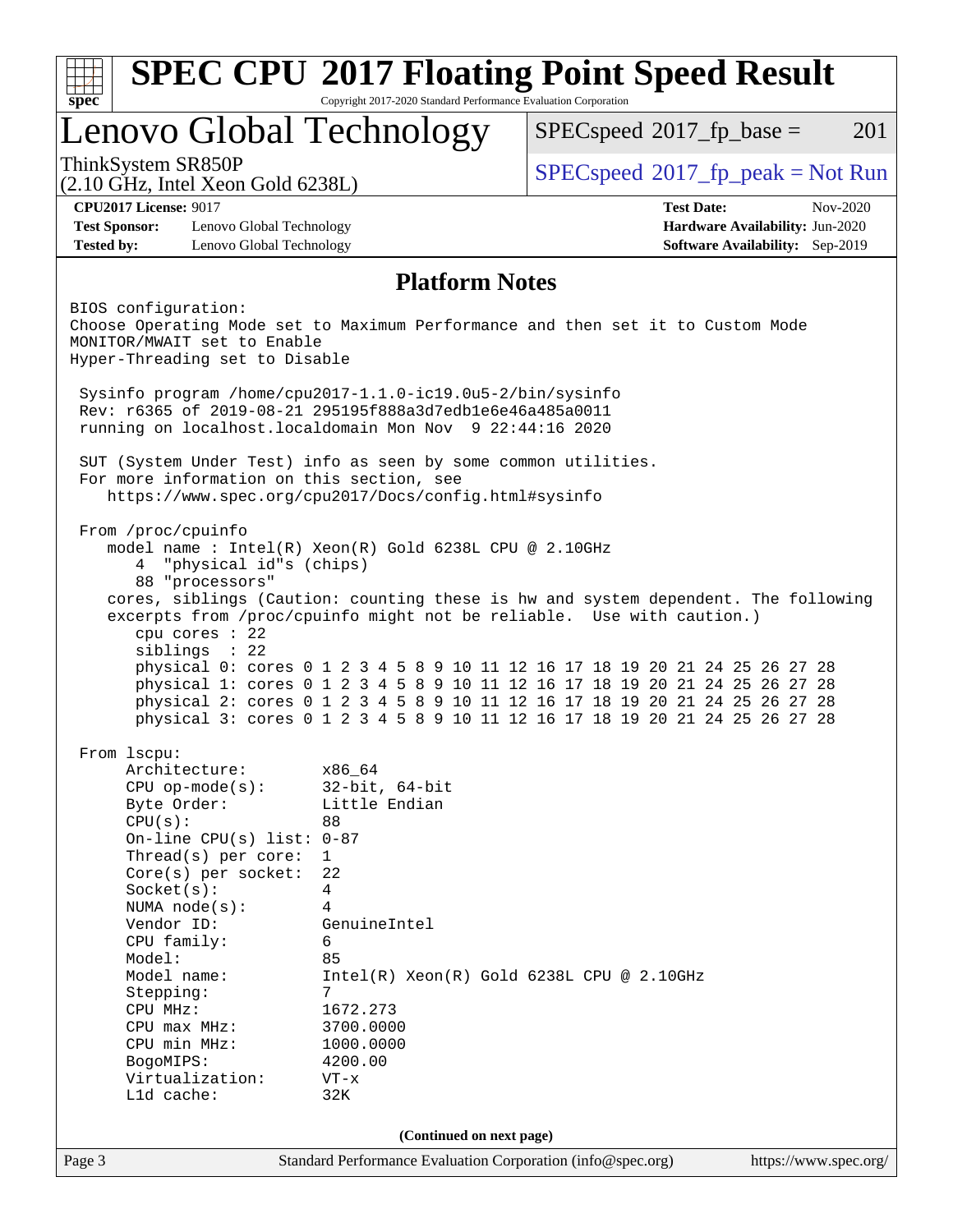|                                                                                                                                                                                     | Lenovo Global Technology                                                              | $SPEC speed^{\circ}2017$ fp base =<br>201                                                                                                                                                                                                                                                                                                                                                                                                                                               |  |  |  |
|-------------------------------------------------------------------------------------------------------------------------------------------------------------------------------------|---------------------------------------------------------------------------------------|-----------------------------------------------------------------------------------------------------------------------------------------------------------------------------------------------------------------------------------------------------------------------------------------------------------------------------------------------------------------------------------------------------------------------------------------------------------------------------------------|--|--|--|
| ThinkSystem SR850P<br>$(2.10 \text{ GHz}, \text{Intel Xeon Gold } 6238L)$                                                                                                           |                                                                                       | $SPEC speed^{\circ}2017\_fp\_peak = Not Run$                                                                                                                                                                                                                                                                                                                                                                                                                                            |  |  |  |
| <b>CPU2017 License: 9017</b>                                                                                                                                                        |                                                                                       | <b>Test Date:</b><br>$Nov-2020$                                                                                                                                                                                                                                                                                                                                                                                                                                                         |  |  |  |
| <b>Test Sponsor:</b><br>Lenovo Global Technology<br><b>Tested by:</b><br>Lenovo Global Technology                                                                                   |                                                                                       | Hardware Availability: Jun-2020<br><b>Software Availability:</b> Sep-2019                                                                                                                                                                                                                                                                                                                                                                                                               |  |  |  |
|                                                                                                                                                                                     | <b>Platform Notes</b>                                                                 |                                                                                                                                                                                                                                                                                                                                                                                                                                                                                         |  |  |  |
| BIOS configuration:<br>MONITOR/MWAIT set to Enable<br>Hyper-Threading set to Disable                                                                                                |                                                                                       | Choose Operating Mode set to Maximum Performance and then set it to Custom Mode                                                                                                                                                                                                                                                                                                                                                                                                         |  |  |  |
| Sysinfo program /home/cpu2017-1.1.0-ic19.0u5-2/bin/sysinfo<br>Rev: r6365 of 2019-08-21 295195f888a3d7edble6e46a485a0011<br>running on localhost.localdomain Mon Nov 9 22:44:16 2020 |                                                                                       |                                                                                                                                                                                                                                                                                                                                                                                                                                                                                         |  |  |  |
| SUT (System Under Test) info as seen by some common utilities.<br>For more information on this section, see                                                                         | https://www.spec.org/cpu2017/Docs/config.html#sysinfo                                 |                                                                                                                                                                                                                                                                                                                                                                                                                                                                                         |  |  |  |
| "physical id"s (chips)<br>4<br>88 "processors"<br>cpu cores $: 22$<br>siblings : 22                                                                                                 | model name: $Intel(R)$ Xeon $(R)$ Gold 6238L CPU @ 2.10GHz                            | cores, siblings (Caution: counting these is hw and system dependent. The following<br>excerpts from /proc/cpuinfo might not be reliable. Use with caution.)<br>physical 0: cores 0 1 2 3 4 5 8 9 10 11 12 16 17 18 19 20 21 24 25 26 27 28<br>physical 1: cores 0 1 2 3 4 5 8 9 10 11 12 16 17 18 19 20 21 24 25 26 27 28<br>physical 2: cores 0 1 2 3 4 5 8 9 10 11 12 16 17 18 19 20 21 24 25 26 27 28<br>physical 3: cores 0 1 2 3 4 5 8 9 10 11 12 16 17 18 19 20 21 24 25 26 27 28 |  |  |  |
| From 1scpu:<br>Architecture:<br>$CPU$ op-mode( $s$ ):<br>Byte Order:<br>CPU(s):<br>On-line CPU(s) list: $0-87$<br>Thread(s) per core:<br>$Core(s)$ per socket:<br>Socket(s):        | x86_64<br>$32$ -bit, $64$ -bit<br>Little Endian<br>88<br>$\mathbf{1}$<br>22<br>4<br>4 |                                                                                                                                                                                                                                                                                                                                                                                                                                                                                         |  |  |  |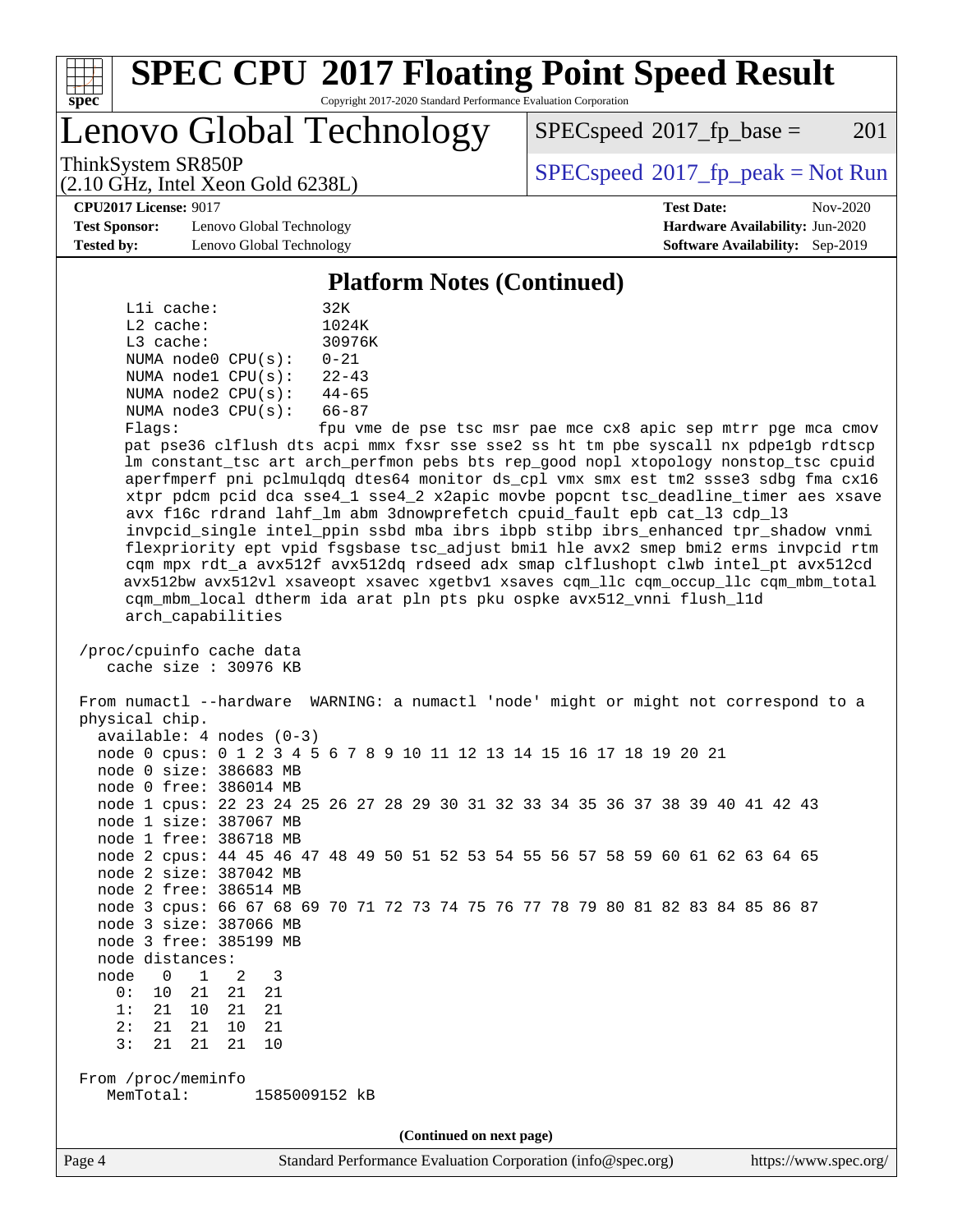

# **[SPEC CPU](http://www.spec.org/auto/cpu2017/Docs/result-fields.html#SPECCPU2017FloatingPointSpeedResult)[2017 Floating Point Speed Result](http://www.spec.org/auto/cpu2017/Docs/result-fields.html#SPECCPU2017FloatingPointSpeedResult)**

Copyright 2017-2020 Standard Performance Evaluation Corporation

Lenovo Global Technology

 $SPECspeed^{\circ}2017\_fp\_base = 201$  $SPECspeed^{\circ}2017\_fp\_base = 201$ 

ThinkSystem SR850P<br>  $\begin{array}{c}\n\text{SPEC speed} \text{°2017\_fp\_peak} = \text{Not Run} \\
\text{SPEC speed} \text{°2017\_fp\_peak} = \text{Not Run} \\
\end{array}$ 

**[CPU2017 License:](http://www.spec.org/auto/cpu2017/Docs/result-fields.html#CPU2017License)** 9017 **[Test Date:](http://www.spec.org/auto/cpu2017/Docs/result-fields.html#TestDate)** Nov-2020

**[Test Sponsor:](http://www.spec.org/auto/cpu2017/Docs/result-fields.html#TestSponsor)** Lenovo Global Technology **[Hardware Availability:](http://www.spec.org/auto/cpu2017/Docs/result-fields.html#HardwareAvailability)** Jun-2020 **[Tested by:](http://www.spec.org/auto/cpu2017/Docs/result-fields.html#Testedby)** Lenovo Global Technology **[Software Availability:](http://www.spec.org/auto/cpu2017/Docs/result-fields.html#SoftwareAvailability)** Sep-2019

(2.10 GHz, Intel Xeon Gold 6238L)

**[Platform Notes \(Continued\)](http://www.spec.org/auto/cpu2017/Docs/result-fields.html#PlatformNotes)**

|           | Lli cache:  |                         | 32K       |
|-----------|-------------|-------------------------|-----------|
|           | $L2$ cache: |                         | 1024K     |
|           | $L3$ cache: |                         | 30976K    |
|           |             | NUMA node0 CPU(s):      | $0 - 21$  |
|           |             | NUMA $node1$ $CPU(s)$ : | $22 - 43$ |
|           |             | NUMA $node2$ $CPU(s)$ : | $44 - 65$ |
|           |             | NUMA node3 CPU(s):      | $66 - 87$ |
| $Fla$ gs: |             |                         | fpu vme   |

e de pse tsc msr pae mce cx8 apic sep mtrr pge mca cmov pat pse36 clflush dts acpi mmx fxsr sse sse2 ss ht tm pbe syscall nx pdpe1gb rdtscp lm constant\_tsc art arch\_perfmon pebs bts rep\_good nopl xtopology nonstop\_tsc cpuid aperfmperf pni pclmulqdq dtes64 monitor ds\_cpl vmx smx est tm2 ssse3 sdbg fma cx16 xtpr pdcm pcid dca sse4\_1 sse4\_2 x2apic movbe popcnt tsc\_deadline\_timer aes xsave avx f16c rdrand lahf\_lm abm 3dnowprefetch cpuid\_fault epb cat\_l3 cdp\_l3 invpcid\_single intel\_ppin ssbd mba ibrs ibpb stibp ibrs\_enhanced tpr\_shadow vnmi flexpriority ept vpid fsgsbase tsc\_adjust bmi1 hle avx2 smep bmi2 erms invpcid rtm cqm mpx rdt\_a avx512f avx512dq rdseed adx smap clflushopt clwb intel\_pt avx512cd avx512bw avx512vl xsaveopt xsavec xgetbv1 xsaves cqm\_llc cqm\_occup\_llc cqm\_mbm\_total cqm\_mbm\_local dtherm ida arat pln pts pku ospke avx512\_vnni flush\_l1d arch\_capabilities

 /proc/cpuinfo cache data cache size : 30976 KB

 From numactl --hardware WARNING: a numactl 'node' might or might not correspond to a physical chip. available: 4 nodes (0-3) node 0 cpus: 0 1 2 3 4 5 6 7 8 9 10 11 12 13 14 15 16 17 18 19 20 21 node 0 size: 386683 MB node 0 free: 386014 MB node 1 cpus: 22 23 24 25 26 27 28 29 30 31 32 33 34 35 36 37 38 39 40 41 42 43 node 1 size: 387067 MB node 1 free: 386718 MB node 2 cpus: 44 45 46 47 48 49 50 51 52 53 54 55 56 57 58 59 60 61 62 63 64 65 node 2 size: 387042 MB

 node 2 free: 386514 MB node 3 cpus: 66 67 68 69 70 71 72 73 74 75 76 77 78 79 80 81 82 83 84 85 86 87 node 3 size: 387066 MB

node 3 free: 385199 MB

- node distances: node 0 1 2 3
- 0: 10 21 21 21
- 1: 21 10 21 21 2: 21 21 10 21

3: 21 21 21 10

 From /proc/meminfo MemTotal: 1585009152 kB

**(Continued on next page)**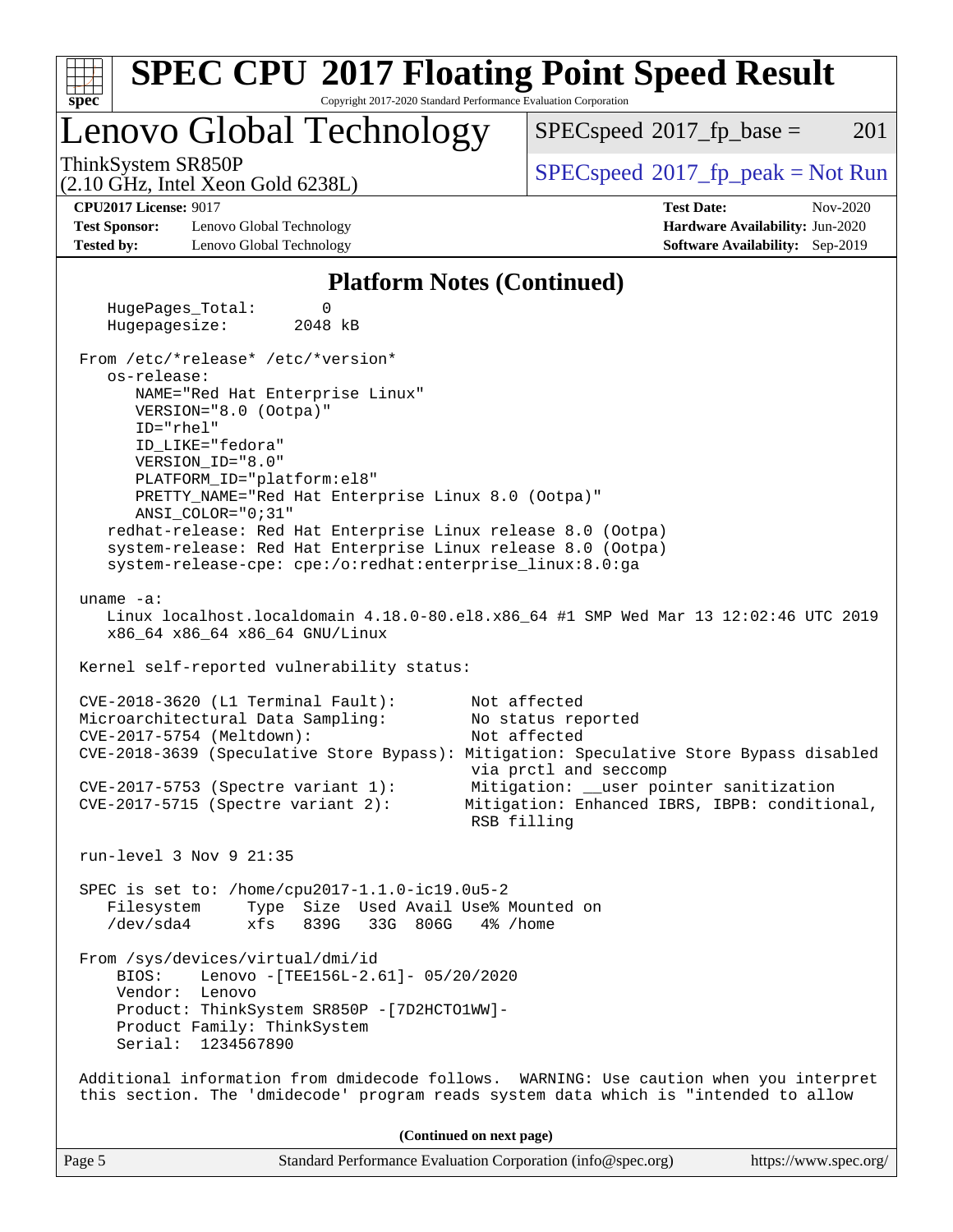| <b>SPEC CPU®2017 Floating Point Speed Result</b><br>spec <sup>®</sup><br>Copyright 2017-2020 Standard Performance Evaluation Corporation                                                                                                                                                                                                                                                                                                                                                                                                                                         |                                                                                                                                                                                        |
|----------------------------------------------------------------------------------------------------------------------------------------------------------------------------------------------------------------------------------------------------------------------------------------------------------------------------------------------------------------------------------------------------------------------------------------------------------------------------------------------------------------------------------------------------------------------------------|----------------------------------------------------------------------------------------------------------------------------------------------------------------------------------------|
| Lenovo Global Technology                                                                                                                                                                                                                                                                                                                                                                                                                                                                                                                                                         | 201<br>$SPEC speed^{\circ}2017\_fp\_base =$                                                                                                                                            |
| ThinkSystem SR850P<br>$(2.10 \text{ GHz}, \text{Intel Xeon Gold } 6238L)$                                                                                                                                                                                                                                                                                                                                                                                                                                                                                                        | $SPEC speed^{\circ}2017\_fp\_peak = Not Run$                                                                                                                                           |
| <b>CPU2017 License: 9017</b><br><b>Test Sponsor:</b><br>Lenovo Global Technology<br><b>Tested by:</b><br>Lenovo Global Technology                                                                                                                                                                                                                                                                                                                                                                                                                                                | <b>Test Date:</b><br>Nov-2020<br>Hardware Availability: Jun-2020<br><b>Software Availability:</b> Sep-2019                                                                             |
| <b>Platform Notes (Continued)</b>                                                                                                                                                                                                                                                                                                                                                                                                                                                                                                                                                |                                                                                                                                                                                        |
| HugePages_Total:<br>0<br>Hugepagesize:<br>2048 kB                                                                                                                                                                                                                                                                                                                                                                                                                                                                                                                                |                                                                                                                                                                                        |
| From /etc/*release* /etc/*version*<br>os-release:<br>NAME="Red Hat Enterprise Linux"<br>VERSION="8.0 (Ootpa)"<br>ID="rhel"<br>ID_LIKE="fedora"<br>VERSION_ID="8.0"<br>PLATFORM_ID="platform:el8"<br>PRETTY_NAME="Red Hat Enterprise Linux 8.0 (Ootpa)"<br>ANSI_COLOR="0;31"<br>redhat-release: Red Hat Enterprise Linux release 8.0 (Ootpa)<br>system-release: Red Hat Enterprise Linux release 8.0 (Ootpa)<br>system-release-cpe: cpe:/o:redhat:enterprise_linux:8.0:ga<br>uname $-a$ :<br>Linux localhost.localdomain 4.18.0-80.el8.x86_64 #1 SMP Wed Mar 13 12:02:46 UTC 2019 |                                                                                                                                                                                        |
| x86_64 x86_64 x86_64 GNU/Linux<br>Kernel self-reported vulnerability status:                                                                                                                                                                                                                                                                                                                                                                                                                                                                                                     |                                                                                                                                                                                        |
| CVE-2018-3620 (L1 Terminal Fault):<br>Microarchitectural Data Sampling:<br>CVE-2017-5754 (Meltdown):<br>CVE-2018-3639 (Speculative Store Bypass): Mitigation: Speculative Store Bypass disabled<br>$CVE-2017-5753$ (Spectre variant 1):<br>$CVE-2017-5715$ (Spectre variant 2):                                                                                                                                                                                                                                                                                                  | Not affected<br>No status reported<br>Not affected<br>via prctl and seccomp<br>Mitigation: __user pointer sanitization<br>Mitigation: Enhanced IBRS, IBPB: conditional,<br>RSB filling |
| run-level $3$ Nov $9$ 21:35                                                                                                                                                                                                                                                                                                                                                                                                                                                                                                                                                      |                                                                                                                                                                                        |
| SPEC is set to: /home/cpu2017-1.1.0-ic19.0u5-2<br>Type Size Used Avail Use% Mounted on<br>Filesystem<br>$/\text{dev/sda4}$<br>xfs<br>839G<br>33G 806G                                                                                                                                                                                                                                                                                                                                                                                                                            | 4% /home                                                                                                                                                                               |
| From /sys/devices/virtual/dmi/id<br>BIOS:<br>Lenovo - [TEE156L-2.61]- 05/20/2020<br>Vendor: Lenovo<br>Product: ThinkSystem SR850P - [7D2HCTO1WW]-<br>Product Family: ThinkSystem<br>Serial: 1234567890                                                                                                                                                                                                                                                                                                                                                                           |                                                                                                                                                                                        |
| Additional information from dmidecode follows. WARNING: Use caution when you interpret<br>this section. The 'dmidecode' program reads system data which is "intended to allow                                                                                                                                                                                                                                                                                                                                                                                                    |                                                                                                                                                                                        |
| (Continued on next page)                                                                                                                                                                                                                                                                                                                                                                                                                                                                                                                                                         |                                                                                                                                                                                        |
| Page 5<br>Standard Performance Evaluation Corporation (info@spec.org)                                                                                                                                                                                                                                                                                                                                                                                                                                                                                                            | https://www.spec.org/                                                                                                                                                                  |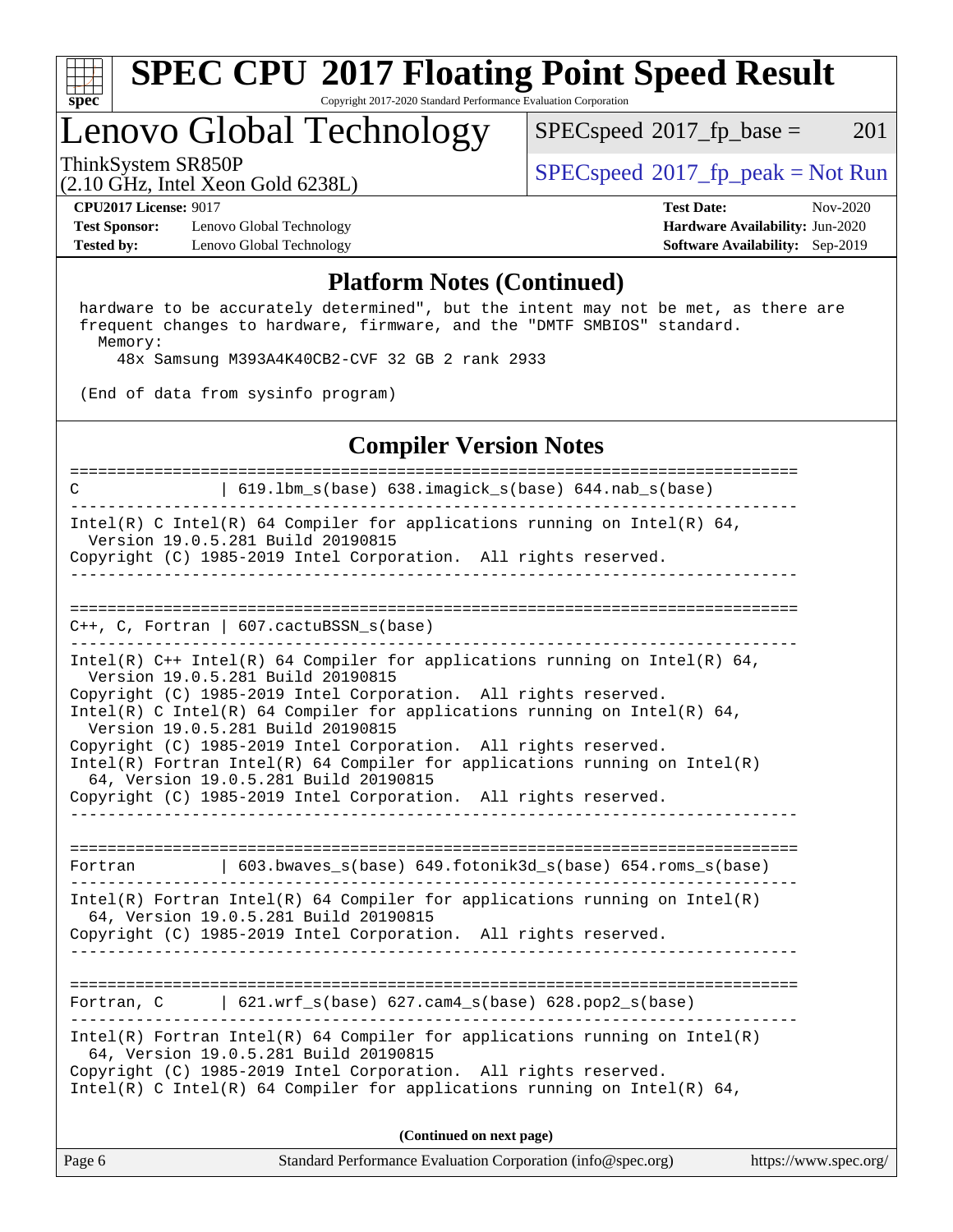

#### **[SPEC CPU](http://www.spec.org/auto/cpu2017/Docs/result-fields.html#SPECCPU2017FloatingPointSpeedResult)[2017 Floating Point Speed Result](http://www.spec.org/auto/cpu2017/Docs/result-fields.html#SPECCPU2017FloatingPointSpeedResult)** Copyright 2017-2020 Standard Performance Evaluation Corporation

### Lenovo Global Technology

 $SPECspeed^{\circledcirc}2017_fp\_base = 201$  $SPECspeed^{\circledcirc}2017_fp\_base = 201$ 

(2.10 GHz, Intel Xeon Gold 6238L)

ThinkSystem SR850P<br>  $(2.10 \text{ GHz. Intel Yes} \cdot \text{Cold } 62291)$  [SPECspeed](http://www.spec.org/auto/cpu2017/Docs/result-fields.html#SPECspeed2017fppeak)®[2017\\_fp\\_peak = N](http://www.spec.org/auto/cpu2017/Docs/result-fields.html#SPECspeed2017fppeak)ot Run

**[Test Sponsor:](http://www.spec.org/auto/cpu2017/Docs/result-fields.html#TestSponsor)** Lenovo Global Technology **[Hardware Availability:](http://www.spec.org/auto/cpu2017/Docs/result-fields.html#HardwareAvailability)** Jun-2020 **[Tested by:](http://www.spec.org/auto/cpu2017/Docs/result-fields.html#Testedby)** Lenovo Global Technology **[Software Availability:](http://www.spec.org/auto/cpu2017/Docs/result-fields.html#SoftwareAvailability)** Sep-2019

**[CPU2017 License:](http://www.spec.org/auto/cpu2017/Docs/result-fields.html#CPU2017License)** 9017 **[Test Date:](http://www.spec.org/auto/cpu2017/Docs/result-fields.html#TestDate)** Nov-2020

#### **[Platform Notes \(Continued\)](http://www.spec.org/auto/cpu2017/Docs/result-fields.html#PlatformNotes)**

 hardware to be accurately determined", but the intent may not be met, as there are frequent changes to hardware, firmware, and the "DMTF SMBIOS" standard. Memory:

48x Samsung M393A4K40CB2-CVF 32 GB 2 rank 2933

(End of data from sysinfo program)

#### **[Compiler Version Notes](http://www.spec.org/auto/cpu2017/Docs/result-fields.html#CompilerVersionNotes)**

Page 6 Standard Performance Evaluation Corporation [\(info@spec.org\)](mailto:info@spec.org) <https://www.spec.org/> ============================================================================== C | 619.lbm\_s(base) 638.imagick\_s(base) 644.nab\_s(base) ------------------------------------------------------------------------------ Intel(R) C Intel(R) 64 Compiler for applications running on Intel(R)  $64$ , Version 19.0.5.281 Build 20190815 Copyright (C) 1985-2019 Intel Corporation. All rights reserved. ------------------------------------------------------------------------------ ============================================================================== C++, C, Fortran | 607.cactuBSSN\_s(base) ------------------------------------------------------------------------------ Intel(R)  $C++$  Intel(R) 64 Compiler for applications running on Intel(R) 64, Version 19.0.5.281 Build 20190815 Copyright (C) 1985-2019 Intel Corporation. All rights reserved. Intel(R) C Intel(R) 64 Compiler for applications running on Intel(R)  $64$ , Version 19.0.5.281 Build 20190815 Copyright (C) 1985-2019 Intel Corporation. All rights reserved. Intel(R) Fortran Intel(R) 64 Compiler for applications running on Intel(R) 64, Version 19.0.5.281 Build 20190815 Copyright (C) 1985-2019 Intel Corporation. All rights reserved. ------------------------------------------------------------------------------ ============================================================================== Fortran | 603.bwaves\_s(base) 649.fotonik3d\_s(base) 654.roms\_s(base) ------------------------------------------------------------------------------ Intel(R) Fortran Intel(R) 64 Compiler for applications running on Intel(R) 64, Version 19.0.5.281 Build 20190815 Copyright (C) 1985-2019 Intel Corporation. All rights reserved. ------------------------------------------------------------------------------ ============================================================================== Fortran, C | 621.wrf\_s(base) 627.cam4\_s(base) 628.pop2\_s(base) ------------------------------------------------------------------------------ Intel(R) Fortran Intel(R) 64 Compiler for applications running on Intel(R) 64, Version 19.0.5.281 Build 20190815 Copyright (C) 1985-2019 Intel Corporation. All rights reserved. Intel(R) C Intel(R) 64 Compiler for applications running on Intel(R)  $64$ , **(Continued on next page)**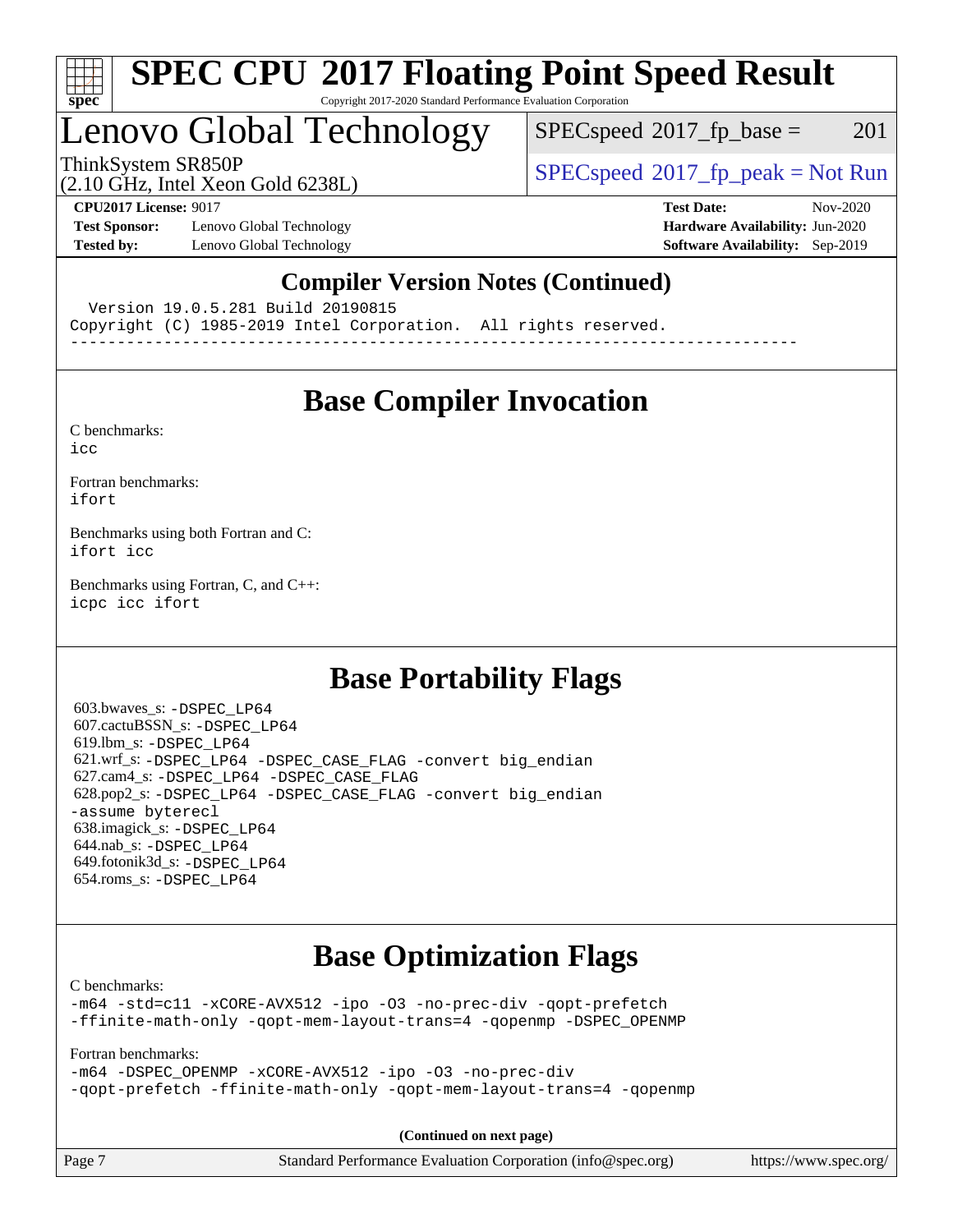

#### **[SPEC CPU](http://www.spec.org/auto/cpu2017/Docs/result-fields.html#SPECCPU2017FloatingPointSpeedResult)[2017 Floating Point Speed Result](http://www.spec.org/auto/cpu2017/Docs/result-fields.html#SPECCPU2017FloatingPointSpeedResult)** Copyright 2017-2020 Standard Performance Evaluation Corporation

### Lenovo Global Technology

 $SPEC speed^{\circ}2017\_fp\_base = 201$ 

(2.10 GHz, Intel Xeon Gold 6238L)

ThinkSystem SR850P<br>  $SPEC speed^{\circ}2017$  [p\_peak = Not Run

**[Test Sponsor:](http://www.spec.org/auto/cpu2017/Docs/result-fields.html#TestSponsor)** Lenovo Global Technology **[Hardware Availability:](http://www.spec.org/auto/cpu2017/Docs/result-fields.html#HardwareAvailability)** Jun-2020 **[Tested by:](http://www.spec.org/auto/cpu2017/Docs/result-fields.html#Testedby)** Lenovo Global Technology **[Software Availability:](http://www.spec.org/auto/cpu2017/Docs/result-fields.html#SoftwareAvailability)** Sep-2019

**[CPU2017 License:](http://www.spec.org/auto/cpu2017/Docs/result-fields.html#CPU2017License)** 9017 **[Test Date:](http://www.spec.org/auto/cpu2017/Docs/result-fields.html#TestDate)** Nov-2020

### **[Compiler Version Notes \(Continued\)](http://www.spec.org/auto/cpu2017/Docs/result-fields.html#CompilerVersionNotes)**

Version 19.0.5.281 Build 20190815

Copyright (C) 1985-2019 Intel Corporation. All rights reserved.

------------------------------------------------------------------------------

### **[Base Compiler Invocation](http://www.spec.org/auto/cpu2017/Docs/result-fields.html#BaseCompilerInvocation)**

[C benchmarks](http://www.spec.org/auto/cpu2017/Docs/result-fields.html#Cbenchmarks): [icc](http://www.spec.org/cpu2017/results/res2020q4/cpu2017-20201123-24453.flags.html#user_CCbase_intel_icc_66fc1ee009f7361af1fbd72ca7dcefbb700085f36577c54f309893dd4ec40d12360134090235512931783d35fd58c0460139e722d5067c5574d8eaf2b3e37e92)

[Fortran benchmarks](http://www.spec.org/auto/cpu2017/Docs/result-fields.html#Fortranbenchmarks): [ifort](http://www.spec.org/cpu2017/results/res2020q4/cpu2017-20201123-24453.flags.html#user_FCbase_intel_ifort_8111460550e3ca792625aed983ce982f94888b8b503583aa7ba2b8303487b4d8a21a13e7191a45c5fd58ff318f48f9492884d4413fa793fd88dd292cad7027ca)

[Benchmarks using both Fortran and C](http://www.spec.org/auto/cpu2017/Docs/result-fields.html#BenchmarksusingbothFortranandC): [ifort](http://www.spec.org/cpu2017/results/res2020q4/cpu2017-20201123-24453.flags.html#user_CC_FCbase_intel_ifort_8111460550e3ca792625aed983ce982f94888b8b503583aa7ba2b8303487b4d8a21a13e7191a45c5fd58ff318f48f9492884d4413fa793fd88dd292cad7027ca) [icc](http://www.spec.org/cpu2017/results/res2020q4/cpu2017-20201123-24453.flags.html#user_CC_FCbase_intel_icc_66fc1ee009f7361af1fbd72ca7dcefbb700085f36577c54f309893dd4ec40d12360134090235512931783d35fd58c0460139e722d5067c5574d8eaf2b3e37e92)

[Benchmarks using Fortran, C, and C++:](http://www.spec.org/auto/cpu2017/Docs/result-fields.html#BenchmarksusingFortranCandCXX) [icpc](http://www.spec.org/cpu2017/results/res2020q4/cpu2017-20201123-24453.flags.html#user_CC_CXX_FCbase_intel_icpc_c510b6838c7f56d33e37e94d029a35b4a7bccf4766a728ee175e80a419847e808290a9b78be685c44ab727ea267ec2f070ec5dc83b407c0218cded6866a35d07) [icc](http://www.spec.org/cpu2017/results/res2020q4/cpu2017-20201123-24453.flags.html#user_CC_CXX_FCbase_intel_icc_66fc1ee009f7361af1fbd72ca7dcefbb700085f36577c54f309893dd4ec40d12360134090235512931783d35fd58c0460139e722d5067c5574d8eaf2b3e37e92) [ifort](http://www.spec.org/cpu2017/results/res2020q4/cpu2017-20201123-24453.flags.html#user_CC_CXX_FCbase_intel_ifort_8111460550e3ca792625aed983ce982f94888b8b503583aa7ba2b8303487b4d8a21a13e7191a45c5fd58ff318f48f9492884d4413fa793fd88dd292cad7027ca)

### **[Base Portability Flags](http://www.spec.org/auto/cpu2017/Docs/result-fields.html#BasePortabilityFlags)**

 603.bwaves\_s: [-DSPEC\\_LP64](http://www.spec.org/cpu2017/results/res2020q4/cpu2017-20201123-24453.flags.html#suite_basePORTABILITY603_bwaves_s_DSPEC_LP64) 607.cactuBSSN\_s: [-DSPEC\\_LP64](http://www.spec.org/cpu2017/results/res2020q4/cpu2017-20201123-24453.flags.html#suite_basePORTABILITY607_cactuBSSN_s_DSPEC_LP64) 619.lbm\_s: [-DSPEC\\_LP64](http://www.spec.org/cpu2017/results/res2020q4/cpu2017-20201123-24453.flags.html#suite_basePORTABILITY619_lbm_s_DSPEC_LP64) 621.wrf\_s: [-DSPEC\\_LP64](http://www.spec.org/cpu2017/results/res2020q4/cpu2017-20201123-24453.flags.html#suite_basePORTABILITY621_wrf_s_DSPEC_LP64) [-DSPEC\\_CASE\\_FLAG](http://www.spec.org/cpu2017/results/res2020q4/cpu2017-20201123-24453.flags.html#b621.wrf_s_baseCPORTABILITY_DSPEC_CASE_FLAG) [-convert big\\_endian](http://www.spec.org/cpu2017/results/res2020q4/cpu2017-20201123-24453.flags.html#user_baseFPORTABILITY621_wrf_s_convert_big_endian_c3194028bc08c63ac5d04de18c48ce6d347e4e562e8892b8bdbdc0214820426deb8554edfa529a3fb25a586e65a3d812c835984020483e7e73212c4d31a38223) 627.cam4\_s: [-DSPEC\\_LP64](http://www.spec.org/cpu2017/results/res2020q4/cpu2017-20201123-24453.flags.html#suite_basePORTABILITY627_cam4_s_DSPEC_LP64) [-DSPEC\\_CASE\\_FLAG](http://www.spec.org/cpu2017/results/res2020q4/cpu2017-20201123-24453.flags.html#b627.cam4_s_baseCPORTABILITY_DSPEC_CASE_FLAG) 628.pop2\_s: [-DSPEC\\_LP64](http://www.spec.org/cpu2017/results/res2020q4/cpu2017-20201123-24453.flags.html#suite_basePORTABILITY628_pop2_s_DSPEC_LP64) [-DSPEC\\_CASE\\_FLAG](http://www.spec.org/cpu2017/results/res2020q4/cpu2017-20201123-24453.flags.html#b628.pop2_s_baseCPORTABILITY_DSPEC_CASE_FLAG) [-convert big\\_endian](http://www.spec.org/cpu2017/results/res2020q4/cpu2017-20201123-24453.flags.html#user_baseFPORTABILITY628_pop2_s_convert_big_endian_c3194028bc08c63ac5d04de18c48ce6d347e4e562e8892b8bdbdc0214820426deb8554edfa529a3fb25a586e65a3d812c835984020483e7e73212c4d31a38223) [-assume byterecl](http://www.spec.org/cpu2017/results/res2020q4/cpu2017-20201123-24453.flags.html#user_baseFPORTABILITY628_pop2_s_assume_byterecl_7e47d18b9513cf18525430bbf0f2177aa9bf368bc7a059c09b2c06a34b53bd3447c950d3f8d6c70e3faf3a05c8557d66a5798b567902e8849adc142926523472) 638.imagick\_s: [-DSPEC\\_LP64](http://www.spec.org/cpu2017/results/res2020q4/cpu2017-20201123-24453.flags.html#suite_basePORTABILITY638_imagick_s_DSPEC_LP64) 644.nab\_s: [-DSPEC\\_LP64](http://www.spec.org/cpu2017/results/res2020q4/cpu2017-20201123-24453.flags.html#suite_basePORTABILITY644_nab_s_DSPEC_LP64) 649.fotonik3d\_s: [-DSPEC\\_LP64](http://www.spec.org/cpu2017/results/res2020q4/cpu2017-20201123-24453.flags.html#suite_basePORTABILITY649_fotonik3d_s_DSPEC_LP64) 654.roms\_s: [-DSPEC\\_LP64](http://www.spec.org/cpu2017/results/res2020q4/cpu2017-20201123-24453.flags.html#suite_basePORTABILITY654_roms_s_DSPEC_LP64)

### **[Base Optimization Flags](http://www.spec.org/auto/cpu2017/Docs/result-fields.html#BaseOptimizationFlags)**

[C benchmarks](http://www.spec.org/auto/cpu2017/Docs/result-fields.html#Cbenchmarks):

[-m64](http://www.spec.org/cpu2017/results/res2020q4/cpu2017-20201123-24453.flags.html#user_CCbase_m64-icc) [-std=c11](http://www.spec.org/cpu2017/results/res2020q4/cpu2017-20201123-24453.flags.html#user_CCbase_std-icc-std_0e1c27790398a4642dfca32ffe6c27b5796f9c2d2676156f2e42c9c44eaad0c049b1cdb667a270c34d979996257aeb8fc440bfb01818dbc9357bd9d174cb8524) [-xCORE-AVX512](http://www.spec.org/cpu2017/results/res2020q4/cpu2017-20201123-24453.flags.html#user_CCbase_f-xCORE-AVX512) [-ipo](http://www.spec.org/cpu2017/results/res2020q4/cpu2017-20201123-24453.flags.html#user_CCbase_f-ipo) [-O3](http://www.spec.org/cpu2017/results/res2020q4/cpu2017-20201123-24453.flags.html#user_CCbase_f-O3) [-no-prec-div](http://www.spec.org/cpu2017/results/res2020q4/cpu2017-20201123-24453.flags.html#user_CCbase_f-no-prec-div) [-qopt-prefetch](http://www.spec.org/cpu2017/results/res2020q4/cpu2017-20201123-24453.flags.html#user_CCbase_f-qopt-prefetch) [-ffinite-math-only](http://www.spec.org/cpu2017/results/res2020q4/cpu2017-20201123-24453.flags.html#user_CCbase_f_finite_math_only_cb91587bd2077682c4b38af759c288ed7c732db004271a9512da14a4f8007909a5f1427ecbf1a0fb78ff2a814402c6114ac565ca162485bbcae155b5e4258871) [-qopt-mem-layout-trans=4](http://www.spec.org/cpu2017/results/res2020q4/cpu2017-20201123-24453.flags.html#user_CCbase_f-qopt-mem-layout-trans_fa39e755916c150a61361b7846f310bcdf6f04e385ef281cadf3647acec3f0ae266d1a1d22d972a7087a248fd4e6ca390a3634700869573d231a252c784941a8) [-qopenmp](http://www.spec.org/cpu2017/results/res2020q4/cpu2017-20201123-24453.flags.html#user_CCbase_qopenmp_16be0c44f24f464004c6784a7acb94aca937f053568ce72f94b139a11c7c168634a55f6653758ddd83bcf7b8463e8028bb0b48b77bcddc6b78d5d95bb1df2967) [-DSPEC\\_OPENMP](http://www.spec.org/cpu2017/results/res2020q4/cpu2017-20201123-24453.flags.html#suite_CCbase_DSPEC_OPENMP)

[Fortran benchmarks](http://www.spec.org/auto/cpu2017/Docs/result-fields.html#Fortranbenchmarks):

[-m64](http://www.spec.org/cpu2017/results/res2020q4/cpu2017-20201123-24453.flags.html#user_FCbase_m64-icc) [-DSPEC\\_OPENMP](http://www.spec.org/cpu2017/results/res2020q4/cpu2017-20201123-24453.flags.html#suite_FCbase_DSPEC_OPENMP) [-xCORE-AVX512](http://www.spec.org/cpu2017/results/res2020q4/cpu2017-20201123-24453.flags.html#user_FCbase_f-xCORE-AVX512) [-ipo](http://www.spec.org/cpu2017/results/res2020q4/cpu2017-20201123-24453.flags.html#user_FCbase_f-ipo) [-O3](http://www.spec.org/cpu2017/results/res2020q4/cpu2017-20201123-24453.flags.html#user_FCbase_f-O3) [-no-prec-div](http://www.spec.org/cpu2017/results/res2020q4/cpu2017-20201123-24453.flags.html#user_FCbase_f-no-prec-div) [-qopt-prefetch](http://www.spec.org/cpu2017/results/res2020q4/cpu2017-20201123-24453.flags.html#user_FCbase_f-qopt-prefetch) [-ffinite-math-only](http://www.spec.org/cpu2017/results/res2020q4/cpu2017-20201123-24453.flags.html#user_FCbase_f_finite_math_only_cb91587bd2077682c4b38af759c288ed7c732db004271a9512da14a4f8007909a5f1427ecbf1a0fb78ff2a814402c6114ac565ca162485bbcae155b5e4258871) [-qopt-mem-layout-trans=4](http://www.spec.org/cpu2017/results/res2020q4/cpu2017-20201123-24453.flags.html#user_FCbase_f-qopt-mem-layout-trans_fa39e755916c150a61361b7846f310bcdf6f04e385ef281cadf3647acec3f0ae266d1a1d22d972a7087a248fd4e6ca390a3634700869573d231a252c784941a8) [-qopenmp](http://www.spec.org/cpu2017/results/res2020q4/cpu2017-20201123-24453.flags.html#user_FCbase_qopenmp_16be0c44f24f464004c6784a7acb94aca937f053568ce72f94b139a11c7c168634a55f6653758ddd83bcf7b8463e8028bb0b48b77bcddc6b78d5d95bb1df2967)

**(Continued on next page)**

| Page 7 | Standard Performance Evaluation Corporation (info@spec.org) | https://www.spec.org/ |
|--------|-------------------------------------------------------------|-----------------------|
|--------|-------------------------------------------------------------|-----------------------|